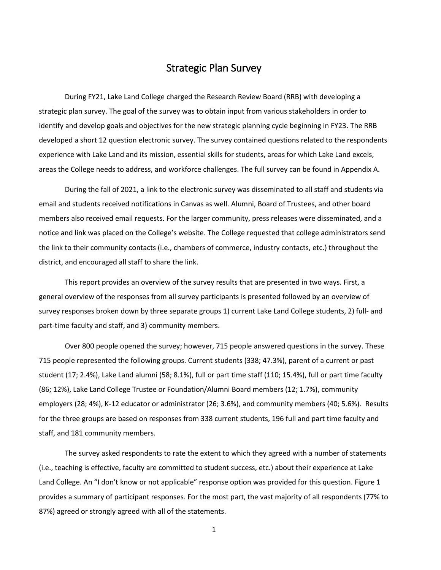## Strategic Plan Survey

During FY21, Lake Land College charged the Research Review Board (RRB) with developing a strategic plan survey. The goal of the survey was to obtain input from various stakeholders in order to identify and develop goals and objectives for the new strategic planning cycle beginning in FY23. The RRB developed a short 12 question electronic survey. The survey contained questions related to the respondents experience with Lake Land and its mission, essential skills for students, areas for which Lake Land excels, areas the College needs to address, and workforce challenges. The full survey can be found in Appendix A.

During the fall of 2021, a link to the electronic survey was disseminated to all staff and students via email and students received notifications in Canvas as well. Alumni, Board of Trustees, and other board members also received email requests. For the larger community, press releases were disseminated, and a notice and link was placed on the College's website. The College requested that college administrators send the link to their community contacts (i.e., chambers of commerce, industry contacts, etc.) throughout the district, and encouraged all staff to share the link.

This report provides an overview of the survey results that are presented in two ways. First, a general overview of the responses from all survey participants is presented followed by an overview of survey responses broken down by three separate groups 1) current Lake Land College students, 2) full- and part-time faculty and staff, and 3) community members.

Over 800 people opened the survey; however, 715 people answered questions in the survey. These 715 people represented the following groups. Current students (338; 47.3%), parent of a current or past student (17; 2.4%), Lake Land alumni (58; 8.1%), full or part time staff (110; 15.4%), full or part time faculty (86; 12%), Lake Land College Trustee or Foundation/Alumni Board members (12; 1.7%), community employers (28; 4%), K-12 educator or administrator (26; 3.6%), and community members (40; 5.6%). Results for the three groups are based on responses from 338 current students, 196 full and part time faculty and staff, and 181 community members.

The survey asked respondents to rate the extent to which they agreed with a number of statements (i.e., teaching is effective, faculty are committed to student success, etc.) about their experience at Lake Land College. An "I don't know or not applicable" response option was provided for this question. Figure 1 provides a summary of participant responses. For the most part, the vast majority of all respondents (77% to 87%) agreed or strongly agreed with all of the statements.

1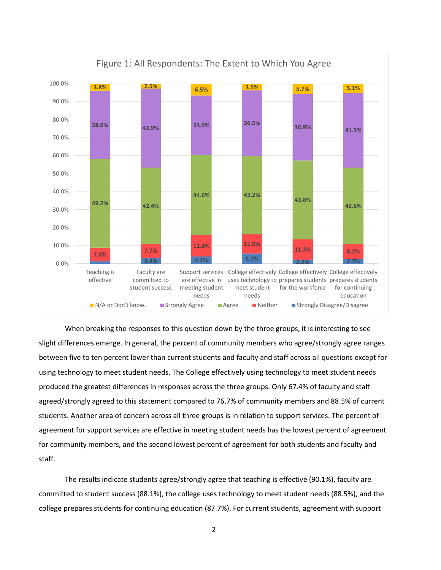

When breaking the responses to this question down by the three groups, it is interesting to see slight differences emerge. In general, the percent of community members who agree/strongly agree ranges between five to ten percent lower than current students and faculty and staff across all questions except for using technology to meet student needs. The College effectively using technology to meet student needs produced the greatest differences in responses across the three groups. Only 67.4% of faculty and staff agreed/strongly agreed to this statement compared to 76.7% of community members and 88.5% of current students. Another area of concern across all three groups is in relation to support services. The percent of agreement for support services are effective in meeting student needs has the lowest percent of agreement for community members, and the second lowest percent of agreement for both students and faculty and staff.

The results indicate students agree/strongly agree that teaching is effective (90.1%), faculty are committed to student success (88.1%), the college uses technology to meet student needs (88.5%), and the college prepares students for continuing education (87.7%). For current students, agreement with support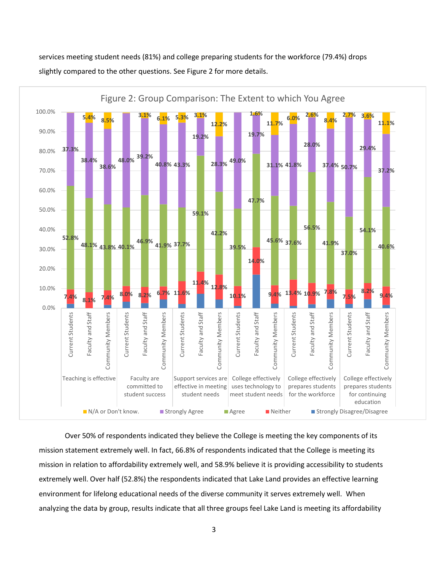services meeting student needs (81%) and college preparing students for the workforce (79.4%) drops slightly compared to the other questions. See Figure 2 for more details.



Over 50% of respondents indicated they believe the College is meeting the key components of its mission statement extremely well. In fact, 66.8% of respondents indicated that the College is meeting its mission in relation to affordability extremely well, and 58.9% believe it is providing accessibility to students extremely well. Over half (52.8%) the respondents indicated that Lake Land provides an effective learning environment for lifelong educational needs of the diverse community it serves extremely well. When analyzing the data by group, results indicate that all three groups feel Lake Land is meeting its affordability

3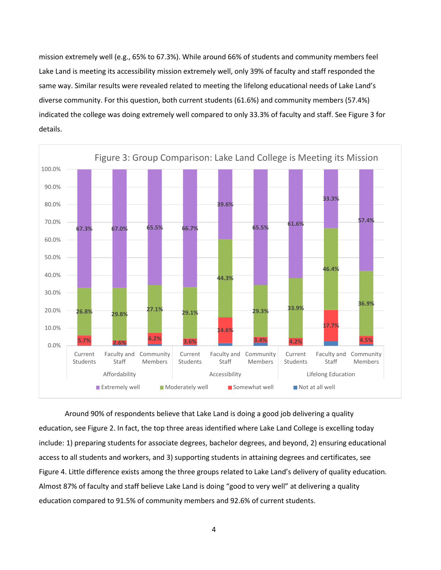mission extremely well (e.g., 65% to 67.3%). While around 66% of students and community members feel Lake Land is meeting its accessibility mission extremely well, only 39% of faculty and staff responded the same way. Similar results were revealed related to meeting the lifelong educational needs of Lake Land's diverse community. For this question, both current students (61.6%) and community members (57.4%) indicated the college was doing extremely well compared to only 33.3% of faculty and staff. See Figure 3 for details.



Around 90% of respondents believe that Lake Land is doing a good job delivering a quality education, see Figure 2. In fact, the top three areas identified where Lake Land College is excelling today include: 1) preparing students for associate degrees, bachelor degrees, and beyond, 2) ensuring educational access to all students and workers, and 3) supporting students in attaining degrees and certificates, see Figure 4. Little difference exists among the three groups related to Lake Land's delivery of quality education. Almost 87% of faculty and staff believe Lake Land is doing "good to very well" at delivering a quality education compared to 91.5% of community members and 92.6% of current students.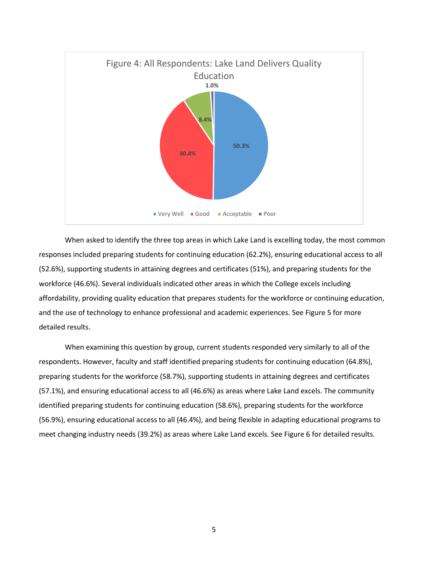

When asked to identify the three top areas in which Lake Land is excelling today, the most common responses included preparing students for continuing education (62.2%), ensuring educational access to all (52.6%), supporting students in attaining degrees and certificates (51%), and preparing students for the workforce (46.6%). Several individuals indicated other areas in which the College excels including affordability, providing quality education that prepares students for the workforce or continuing education, and the use of technology to enhance professional and academic experiences. See Figure 5 for more detailed results.

When examining this question by group, current students responded very similarly to all of the respondents. However, faculty and staff identified preparing students for continuing education (64.8%), preparing students for the workforce (58.7%), supporting students in attaining degrees and certificates (57.1%), and ensuring educational access to all (46.6%) as areas where Lake Land excels. The community identified preparing students for continuing education (58.6%), preparing students for the workforce (56.9%), ensuring educational access to all (46.4%), and being flexible in adapting educational programs to meet changing industry needs (39.2%) as areas where Lake Land excels. See Figure 6 for detailed results.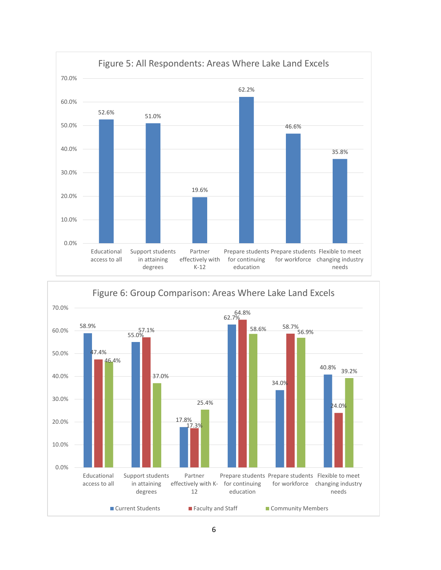

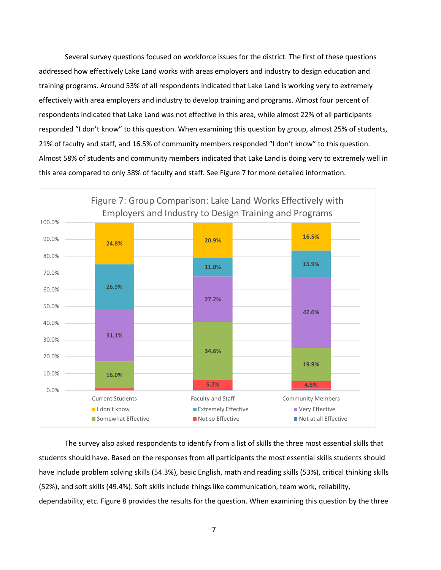Several survey questions focused on workforce issues for the district. The first of these questions addressed how effectively Lake Land works with areas employers and industry to design education and training programs. Around 53% of all respondents indicated that Lake Land is working very to extremely effectively with area employers and industry to develop training and programs. Almost four percent of respondents indicated that Lake Land was not effective in this area, while almost 22% of all participants responded "I don't know" to this question. When examining this question by group, almost 25% of students, 21% of faculty and staff, and 16.5% of community members responded "I don't know" to this question. Almost 58% of students and community members indicated that Lake Land is doing very to extremely well in this area compared to only 38% of faculty and staff. See Figure 7 for more detailed information.



The survey also asked respondents to identify from a list of skills the three most essential skills that students should have. Based on the responses from all participants the most essential skills students should have include problem solving skills (54.3%), basic English, math and reading skills (53%), critical thinking skills (52%), and soft skills (49.4%). Soft skills include things like communication, team work, reliability, dependability, etc. Figure 8 provides the results for the question. When examining this question by the three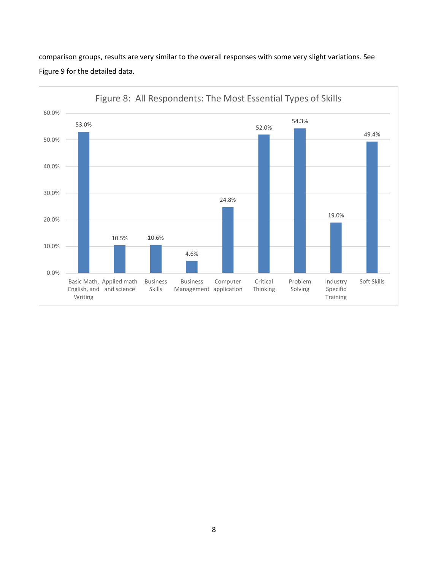

comparison groups, results are very similar to the overall responses with some very slight variations. See Figure 9 for the detailed data.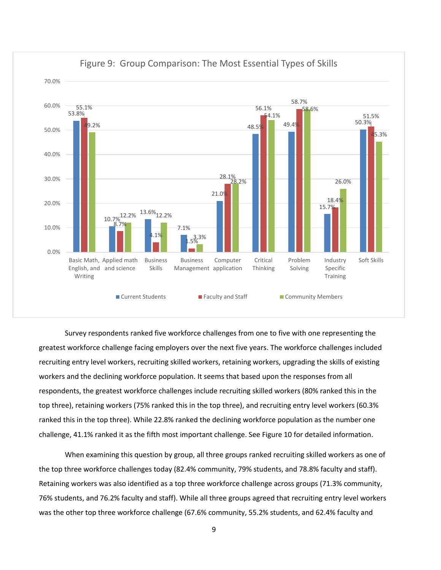

Figure 9: Group Comparison: The Most Essential Types of Skills

Survey respondents ranked five workforce challenges from one to five with one representing the greatest workforce challenge facing employers over the next five years. The workforce challenges included recruiting entry level workers, recruiting skilled workers, retaining workers, upgrading the skills of existing workers and the declining workforce population. It seems that based upon the responses from all respondents, the greatest workforce challenges include recruiting skilled workers (80% ranked this in the top three), retaining workers (75% ranked this in the top three), and recruiting entry level workers (60.3% ranked this in the top three). While 22.8% ranked the declining workforce population as the number one challenge, 41.1% ranked it as the fifth most important challenge. See Figure 10 for detailed information.

When examining this question by group, all three groups ranked recruiting skilled workers as one of the top three workforce challenges today (82.4% community, 79% students, and 78.8% faculty and staff). Retaining workers was also identified as a top three workforce challenge across groups (71.3% community, 76% students, and 76.2% faculty and staff). While all three groups agreed that recruiting entry level workers was the other top three workforce challenge (67.6% community, 55.2% students, and 62.4% faculty and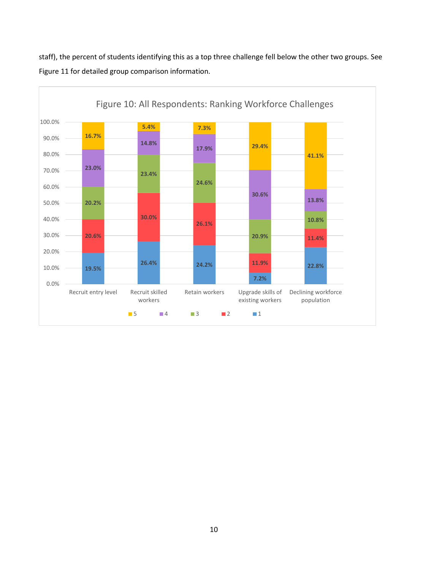staff), the percent of students identifying this as a top three challenge fell below the other two groups. See Figure 11 for detailed group comparison information.

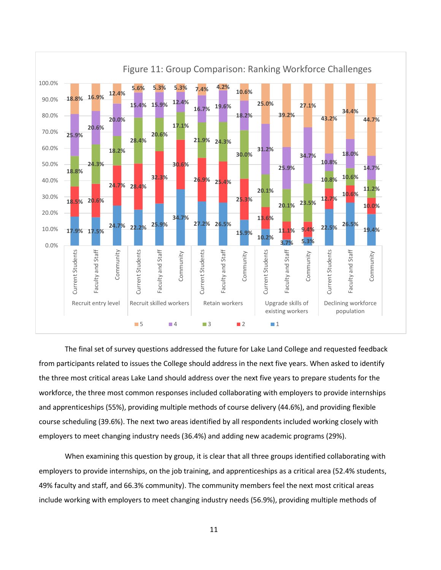

## The final set of survey questions addressed the future for Lake Land College and requested feedback from participants related to issues the College should address in the next five years. When asked to identify the three most critical areas Lake Land should address over the next five years to prepare students for the workforce, the three most common responses included collaborating with employers to provide internships and apprenticeships (55%), providing multiple methods of course delivery (44.6%), and providing flexible course scheduling (39.6%). The next two areas identified by all respondents included working closely with employers to meet changing industry needs (36.4%) and adding new academic programs (29%).

When examining this question by group, it is clear that all three groups identified collaborating with employers to provide internships, on the job training, and apprenticeships as a critical area (52.4% students, 49% faculty and staff, and 66.3% community). The community members feel the next most critical areas include working with employers to meet changing industry needs (56.9%), providing multiple methods of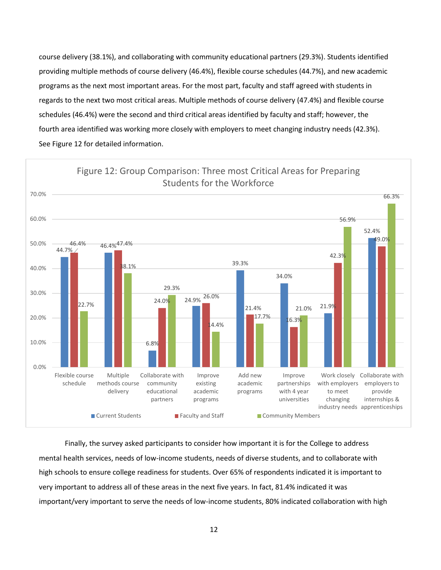course delivery (38.1%), and collaborating with community educational partners (29.3%). Students identified providing multiple methods of course delivery (46.4%), flexible course schedules (44.7%), and new academic programs as the next most important areas. For the most part, faculty and staff agreed with students in regards to the next two most critical areas. Multiple methods of course delivery (47.4%) and flexible course schedules (46.4%) were the second and third critical areas identified by faculty and staff; however, the fourth area identified was working more closely with employers to meet changing industry needs (42.3%). See Figure 12 for detailed information.



Finally, the survey asked participants to consider how important it is for the College to address mental health services, needs of low-income students, needs of diverse students, and to collaborate with high schools to ensure college readiness for students. Over 65% of respondents indicated it is important to very important to address all of these areas in the next five years. In fact, 81.4% indicated it was important/very important to serve the needs of low-income students, 80% indicated collaboration with high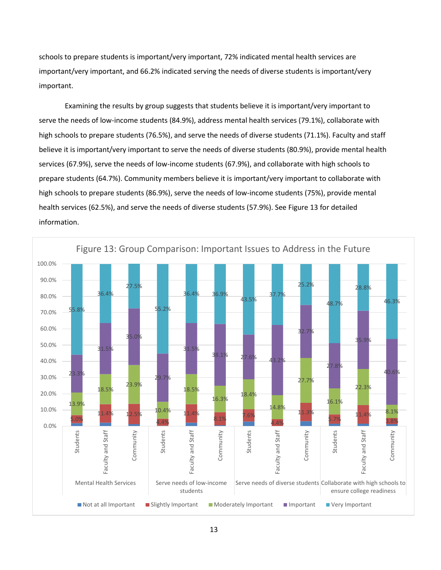schools to prepare students is important/very important, 72% indicated mental health services are important/very important, and 66.2% indicated serving the needs of diverse students is important/very important.

Examining the results by group suggests that students believe it is important/very important to serve the needs of low-income students (84.9%), address mental health services (79.1%), collaborate with high schools to prepare students (76.5%), and serve the needs of diverse students (71.1%). Faculty and staff believe it is important/very important to serve the needs of diverse students (80.9%), provide mental health services (67.9%), serve the needs of low-income students (67.9%), and collaborate with high schools to prepare students (64.7%). Community members believe it is important/very important to collaborate with high schools to prepare students (86.9%), serve the needs of low-income students (75%), provide mental health services (62.5%), and serve the needs of diverse students (57.9%). See Figure 13 for detailed information.

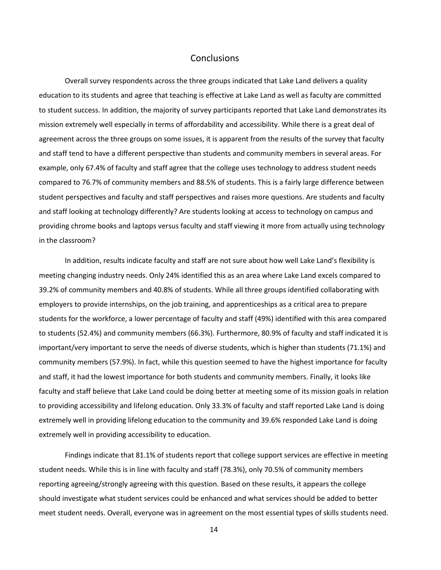## **Conclusions**

Overall survey respondents across the three groups indicated that Lake Land delivers a quality education to its students and agree that teaching is effective at Lake Land as well as faculty are committed to student success. In addition, the majority of survey participants reported that Lake Land demonstrates its mission extremely well especially in terms of affordability and accessibility. While there is a great deal of agreement across the three groups on some issues, it is apparent from the results of the survey that faculty and staff tend to have a different perspective than students and community members in several areas. For example, only 67.4% of faculty and staff agree that the college uses technology to address student needs compared to 76.7% of community members and 88.5% of students. This is a fairly large difference between student perspectives and faculty and staff perspectives and raises more questions. Are students and faculty and staff looking at technology differently? Are students looking at access to technology on campus and providing chrome books and laptops versus faculty and staff viewing it more from actually using technology in the classroom?

In addition, results indicate faculty and staff are not sure about how well Lake Land's flexibility is meeting changing industry needs. Only 24% identified this as an area where Lake Land excels compared to 39.2% of community members and 40.8% of students. While all three groups identified collaborating with employers to provide internships, on the job training, and apprenticeships as a critical area to prepare students for the workforce, a lower percentage of faculty and staff (49%) identified with this area compared to students (52.4%) and community members (66.3%). Furthermore, 80.9% of faculty and staff indicated it is important/very important to serve the needs of diverse students, which is higher than students (71.1%) and community members (57.9%). In fact, while this question seemed to have the highest importance for faculty and staff, it had the lowest importance for both students and community members. Finally, it looks like faculty and staff believe that Lake Land could be doing better at meeting some of its mission goals in relation to providing accessibility and lifelong education. Only 33.3% of faculty and staff reported Lake Land is doing extremely well in providing lifelong education to the community and 39.6% responded Lake Land is doing extremely well in providing accessibility to education.

Findings indicate that 81.1% of students report that college support services are effective in meeting student needs. While this is in line with faculty and staff (78.3%), only 70.5% of community members reporting agreeing/strongly agreeing with this question. Based on these results, it appears the college should investigate what student services could be enhanced and what services should be added to better meet student needs. Overall, everyone was in agreement on the most essential types of skills students need.

14